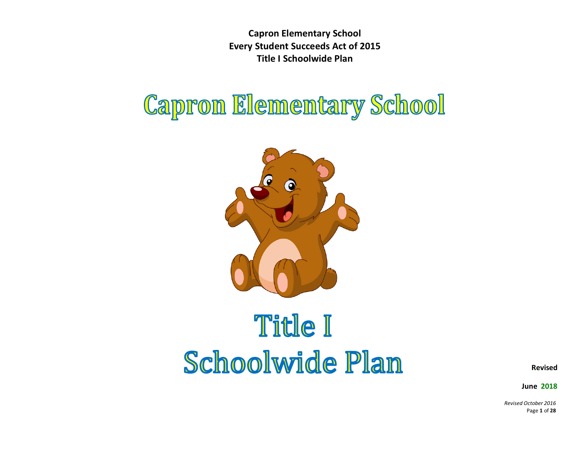## **Capron Elementary School**



# **Title I Schoolwide Plan**

**Revised** 

 **June 2018**

*Revised October 2016* Page **1** of **28**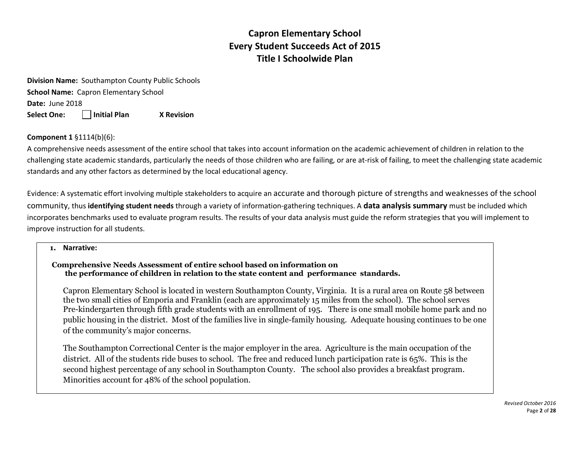**Division Name:** Southampton County Public Schools **School Name:** Capron Elementary School **Date:** June 2018 **Select One: Initial Plan X Revision** 

**Component 1** §1114(b)(6):

A comprehensive needs assessment of the entire school that takes into account information on the academic achievement of children in relation to the challenging state academic standards, particularly the needs of those children who are failing, or are at-risk of failing, to meet the challenging state academic standards and any other factors as determined by the local educational agency.

Evidence: A systematic effort involving multiple stakeholders to acquire an accurate and thorough picture of strengths and weaknesses of the school community, thus **identifying student needs** through a variety of information-gathering techniques. A **data analysis summary** must be included which incorporates benchmarks used to evaluate program results. The results of your data analysis must guide the reform strategies that you will implement to improve instruction for all students.

#### **1. Narrative:**

#### **Comprehensive Needs Assessment of entire school based on information on the performance of children in relation to the state content and performance standards.**

Capron Elementary School is located in western Southampton County, Virginia. It is a rural area on Route 58 between the two small cities of Emporia and Franklin (each are approximately 15 miles from the school). The school serves Pre-kindergarten through fifth grade students with an enrollment of 195. There is one small mobile home park and no public housing in the district. Most of the families live in single-family housing. Adequate housing continues to be one of the community's major concerns.

The Southampton Correctional Center is the major employer in the area. Agriculture is the main occupation of the district. All of the students ride buses to school. The free and reduced lunch participation rate is 65%. This is the second highest percentage of any school in Southampton County. The school also provides a breakfast program. Minorities account for 48% of the school population.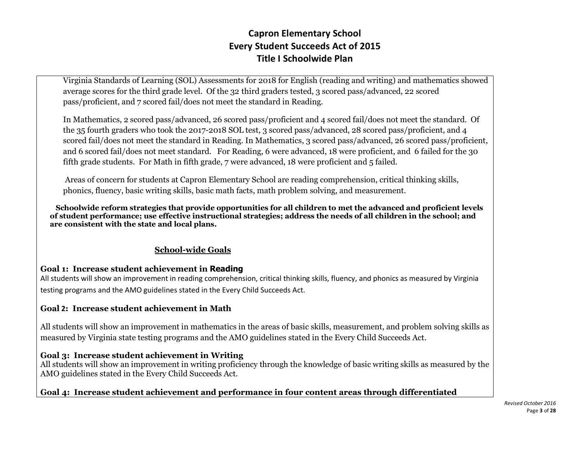Virginia Standards of Learning (SOL) Assessments for 2018 for English (reading and writing) and mathematics showed average scores for the third grade level. Of the 32 third graders tested, 3 scored pass/advanced, 22 scored pass/proficient, and 7 scored fail/does not meet the standard in Reading.

In Mathematics, 2 scored pass/advanced, 26 scored pass/proficient and 4 scored fail/does not meet the standard. Of the 35 fourth graders who took the 2017-2018 SOL test, 3 scored pass/advanced, 28 scored pass/proficient, and 4 scored fail/does not meet the standard in Reading. In Mathematics, 3 scored pass/advanced, 26 scored pass/proficient, and 6 scored fail/does not meet standard. For Reading, 6 were advanced, 18 were proficient, and 6 failed for the 30 fifth grade students. For Math in fifth grade, 7 were advanced, 18 were proficient and 5 failed.

Areas of concern for students at Capron Elementary School are reading comprehension, critical thinking skills, phonics, fluency, basic writing skills, basic math facts, math problem solving, and measurement.

 **Schoolwide reform strategies that provide opportunities for all children to met the advanced and proficient levels of student performance; use effective instructional strategies; address the needs of all children in the school; and are consistent with the state and local plans.**

#### **School-wide Goals**

#### **Goal 1: Increase student achievement in Reading**

All students will show an improvement in reading comprehension, critical thinking skills, fluency, and phonics as measured by Virginia testing programs and the AMO guidelines stated in the Every Child Succeeds Act.

#### **Goal 2: Increase student achievement in Math**

All students will show an improvement in mathematics in the areas of basic skills, measurement, and problem solving skills as measured by Virginia state testing programs and the AMO guidelines stated in the Every Child Succeeds Act.

#### **Goal 3: Increase student achievement in Writing**

All students will show an improvement in writing proficiency through the knowledge of basic writing skills as measured by the AMO guidelines stated in the Every Child Succeeds Act.

#### **Goal 4: Increase student achievement and performance in four content areas through differentiated**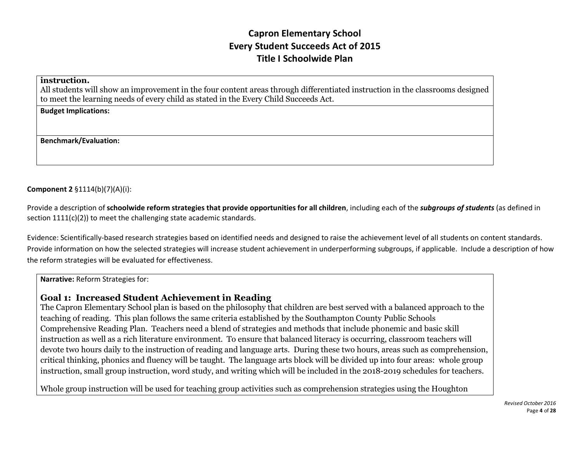#### **instruction.**

All students will show an improvement in the four content areas through differentiated instruction in the classrooms designed to meet the learning needs of every child as stated in the Every Child Succeeds Act.

**Budget Implications:** 

**Benchmark/Evaluation:**

#### **Component 2** §1114(b)(7)(A)(i):

Provide a description of **schoolwide reform strategies that provide opportunities for all children**, including each of the *subgroups of students* (as defined in section 1111(c)(2)) to meet the challenging state academic standards.

Evidence: Scientifically-based research strategies based on identified needs and designed to raise the achievement level of all students on content standards. Provide information on how the selected strategies will increase student achievement in underperforming subgroups, if applicable. Include a description of how the reform strategies will be evaluated for effectiveness.

**Narrative:** Reform Strategies for:

#### **Goal 1: Increased Student Achievement in Reading**

The Capron Elementary School plan is based on the philosophy that children are best served with a balanced approach to the teaching of reading. This plan follows the same criteria established by the Southampton County Public Schools Comprehensive Reading Plan. Teachers need a blend of strategies and methods that include phonemic and basic skill instruction as well as a rich literature environment. To ensure that balanced literacy is occurring, classroom teachers will devote two hours daily to the instruction of reading and language arts. During these two hours, areas such as comprehension, critical thinking, phonics and fluency will be taught. The language arts block will be divided up into four areas: whole group instruction, small group instruction, word study, and writing which will be included in the 2018-2019 schedules for teachers.

Whole group instruction will be used for teaching group activities such as comprehension strategies using the Houghton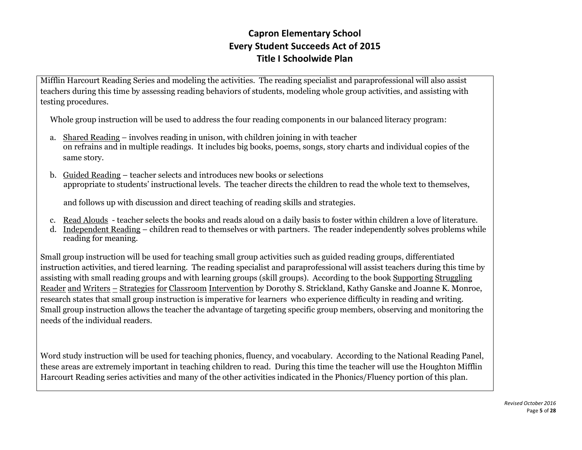Mifflin Harcourt Reading Series and modeling the activities. The reading specialist and paraprofessional will also assist teachers during this time by assessing reading behaviors of students, modeling whole group activities, and assisting with testing procedures.

Whole group instruction will be used to address the four reading components in our balanced literacy program:

- a. Shared Reading involves reading in unison, with children joining in with teacher on refrains and in multiple readings. It includes big books, poems, songs, story charts and individual copies of the same story.
- b. Guided Reading teacher selects and introduces new books or selections appropriate to students' instructional levels. The teacher directs the children to read the whole text to themselves,

and follows up with discussion and direct teaching of reading skills and strategies.

- c. Read Alouds teacher selects the books and reads aloud on a daily basis to foster within children a love of literature.
- d. Independent Reading children read to themselves or with partners. The reader independently solves problems while reading for meaning.

Small group instruction will be used for teaching small group activities such as guided reading groups, differentiated instruction activities, and tiered learning. The reading specialist and paraprofessional will assist teachers during this time by assisting with small reading groups and with learning groups (skill groups). According to the book Supporting Struggling Reader and Writers - Strategies for Classroom Intervention by Dorothy S. Strickland, Kathy Ganske and Joanne K. Monroe, research states that small group instruction is imperative for learners who experience difficulty in reading and writing. Small group instruction allows the teacher the advantage of targeting specific group members, observing and monitoring the needs of the individual readers.

Word study instruction will be used for teaching phonics, fluency, and vocabulary. According to the National Reading Panel, these areas are extremely important in teaching children to read. During this time the teacher will use the Houghton Mifflin Harcourt Reading series activities and many of the other activities indicated in the Phonics/Fluency portion of this plan.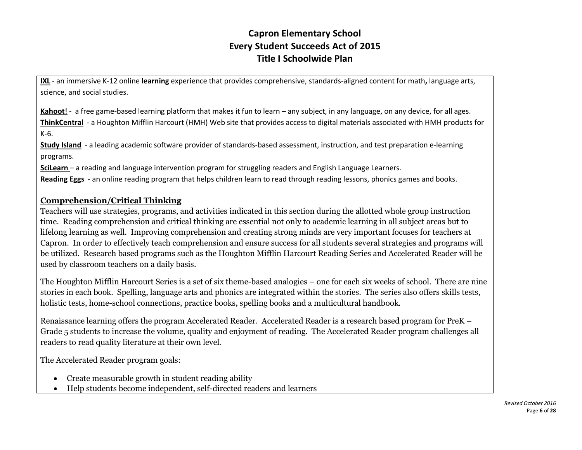**IXL** - an immersive K-12 online **learning** experience that provides comprehensive, standards-aligned content for math**,** language arts, science, and social studies.

**Kahoot**! - a free game-based learning platform that makes it fun to learn – any subject, in any language, on any device, for all ages. **ThinkCentral** - a Houghton Mifflin Harcourt (HMH) Web site that provides access to digital materials associated with HMH products for K-6.

**Study Island** - a leading academic software provider of standards-based assessment, instruction, and test preparation e-learning programs.

**SciLearn** – a reading and language intervention program for struggling readers and English Language Learners.

**Reading Eggs** - an online reading program that helps children learn to read through reading lessons, phonics games and books.

#### **Comprehension/Critical Thinking**

Teachers will use strategies, programs, and activities indicated in this section during the allotted whole group instruction time. Reading comprehension and critical thinking are essential not only to academic learning in all subject areas but to lifelong learning as well. Improving comprehension and creating strong minds are very important focuses for teachers at Capron. In order to effectively teach comprehension and ensure success for all students several strategies and programs will be utilized. Research based programs such as the Houghton Mifflin Harcourt Reading Series and Accelerated Reader will be used by classroom teachers on a daily basis.

The Houghton Mifflin Harcourt Series is a set of six theme-based analogies – one for each six weeks of school. There are nine stories in each book. Spelling, language arts and phonics are integrated within the stories. The series also offers skills tests, holistic tests, home-school connections, practice books, spelling books and a multicultural handbook.

Renaissance learning offers the program Accelerated Reader. Accelerated Reader is a research based program for PreK – Grade 5 students to increase the volume, quality and enjoyment of reading. The Accelerated Reader program challenges all readers to read quality literature at their own level.

The Accelerated Reader program goals:

- Create measurable growth in student reading ability
- Help students become independent, self-directed readers and learners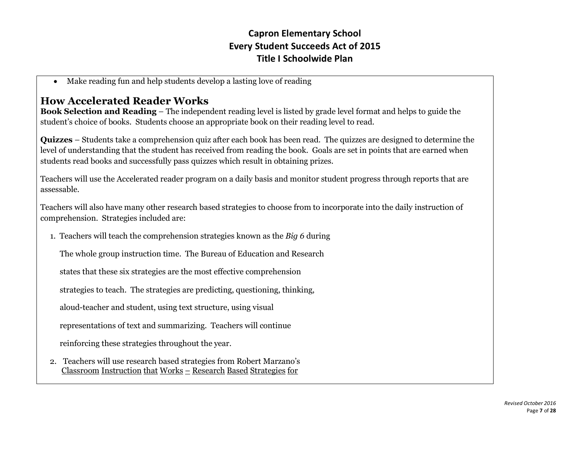• Make reading fun and help students develop a lasting love of reading

## **How Accelerated Reader Works**

**Book Selection and Reading** – The independent reading level is listed by grade level format and helps to guide the student's choice of books. Students choose an appropriate book on their reading level to read.

**Quizzes** – Students take a comprehension quiz after each book has been read. The quizzes are designed to determine the level of understanding that the student has received from reading the book. Goals are set in points that are earned when students read books and successfully pass quizzes which result in obtaining prizes.

Teachers will use the Accelerated reader program on a daily basis and monitor student progress through reports that are assessable.

Teachers will also have many other research based strategies to choose from to incorporate into the daily instruction of comprehension. Strategies included are:

1. Teachers will teach the comprehension strategies known as the *Big 6* during

The whole group instruction time. The Bureau of Education and Research

states that these six strategies are the most effective comprehension

strategies to teach. The strategies are predicting, questioning, thinking,

aloud-teacher and student, using text structure, using visual

representations of text and summarizing. Teachers will continue

reinforcing these strategies throughout the year.

2. Teachers will use research based strategies from Robert Marzano's Classroom Instruction that Works – Research Based Strategies for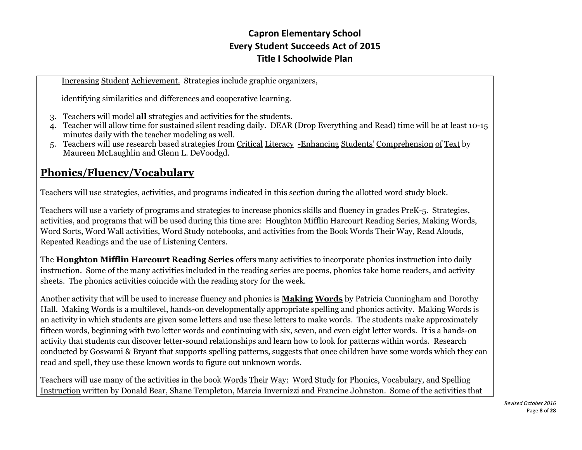Increasing Student Achievement. Strategies include graphic organizers,

identifying similarities and differences and cooperative learning.

- 3. Teachers will model **all** strategies and activities for the students.
- 4. Teacher will allow time for sustained silent reading daily. DEAR (Drop Everything and Read) time will be at least 10-15 minutes daily with the teacher modeling as well.
- 5. Teachers will use research based strategies from Critical Literacy -Enhancing Students' Comprehension of Text by Maureen McLaughlin and Glenn L. DeVoodgd.

## **Phonics/Fluency/Vocabulary**

Teachers will use strategies, activities, and programs indicated in this section during the allotted word study block.

Teachers will use a variety of programs and strategies to increase phonics skills and fluency in grades PreK-5. Strategies, activities, and programs that will be used during this time are: Houghton Mifflin Harcourt Reading Series, Making Words, Word Sorts, Word Wall activities, Word Study notebooks, and activities from the Book Words Their Way, Read Alouds, Repeated Readings and the use of Listening Centers.

The **Houghton Mifflin Harcourt Reading Series** offers many activities to incorporate phonics instruction into daily instruction. Some of the many activities included in the reading series are poems, phonics take home readers, and activity sheets. The phonics activities coincide with the reading story for the week.

Another activity that will be used to increase fluency and phonics is **Making Words** by Patricia Cunningham and Dorothy Hall. Making Words is a multilevel, hands-on developmentally appropriate spelling and phonics activity. Making Words is an activity in which students are given some letters and use these letters to make words. The students make approximately fifteen words, beginning with two letter words and continuing with six, seven, and even eight letter words. It is a hands-on activity that students can discover letter-sound relationships and learn how to look for patterns within words. Research conducted by Goswami & Bryant that supports spelling patterns, suggests that once children have some words which they can read and spell, they use these known words to figure out unknown words.

Teachers will use many of the activities in the book Words Their Way: Word Study for Phonics, Vocabulary, and Spelling Instruction written by Donald Bear, Shane Templeton, Marcia Invernizzi and Francine Johnston. Some of the activities that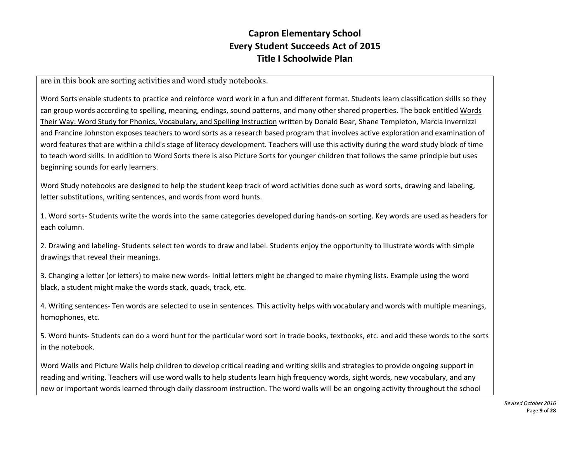are in this book are sorting activities and word study notebooks.

Word Sorts enable students to practice and reinforce word work in a fun and different format. Students learn classification skills so they can group words according to spelling, meaning, endings, sound patterns, and many other shared properties. The book entitled Words Their Way: Word Study for Phonics, Vocabulary, and Spelling Instruction written by Donald Bear, Shane Templeton, Marcia Invernizzi and Francine Johnston exposes teachers to word sorts as a research based program that involves active exploration and examination of word features that are within a child's stage of literacy development. Teachers will use this activity during the word study block of time to teach word skills. In addition to Word Sorts there is also Picture Sorts for younger children that follows the same principle but uses beginning sounds for early learners.

Word Study notebooks are designed to help the student keep track of word activities done such as word sorts, drawing and labeling, letter substitutions, writing sentences, and words from word hunts.

1. Word sorts- Students write the words into the same categories developed during hands-on sorting. Key words are used as headers for each column.

2. Drawing and labeling- Students select ten words to draw and label. Students enjoy the opportunity to illustrate words with simple drawings that reveal their meanings.

3. Changing a letter (or letters) to make new words- Initial letters might be changed to make rhyming lists. Example using the word black, a student might make the words stack, quack, track, etc.

4. Writing sentences- Ten words are selected to use in sentences. This activity helps with vocabulary and words with multiple meanings, homophones, etc.

5. Word hunts- Students can do a word hunt for the particular word sort in trade books, textbooks, etc. and add these words to the sorts in the notebook.

Word Walls and Picture Walls help children to develop critical reading and writing skills and strategies to provide ongoing support in reading and writing. Teachers will use word walls to help students learn high frequency words, sight words, new vocabulary, and any new or important words learned through daily classroom instruction. The word walls will be an ongoing activity throughout the school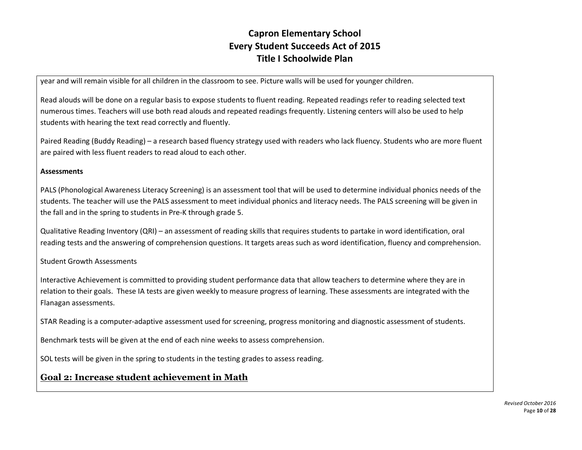year and will remain visible for all children in the classroom to see. Picture walls will be used for younger children.

Read alouds will be done on a regular basis to expose students to fluent reading. Repeated readings refer to reading selected text numerous times. Teachers will use both read alouds and repeated readings frequently. Listening centers will also be used to help students with hearing the text read correctly and fluently.

Paired Reading (Buddy Reading) – a research based fluency strategy used with readers who lack fluency. Students who are more fluent are paired with less fluent readers to read aloud to each other.

#### **Assessments**

PALS (Phonological Awareness Literacy Screening) is an assessment tool that will be used to determine individual phonics needs of the students. The teacher will use the PALS assessment to meet individual phonics and literacy needs. The PALS screening will be given in the fall and in the spring to students in Pre-K through grade 5.

Qualitative Reading Inventory (QRI) – an assessment of reading skills that requires students to partake in word identification, oral reading tests and the answering of comprehension questions. It targets areas such as word identification, fluency and comprehension.

Student Growth Assessments

Interactive Achievement is committed to providing student performance data that allow teachers to determine where they are in relation to their goals. These IA tests are given weekly to measure progress of learning. These assessments are integrated with the Flanagan assessments.

STAR Reading is a computer-adaptive assessment used for screening, progress monitoring and diagnostic assessment of students.

Benchmark tests will be given at the end of each nine weeks to assess comprehension.

SOL tests will be given in the spring to students in the testing grades to assess reading.

#### **Goal 2: Increase student achievement in Math**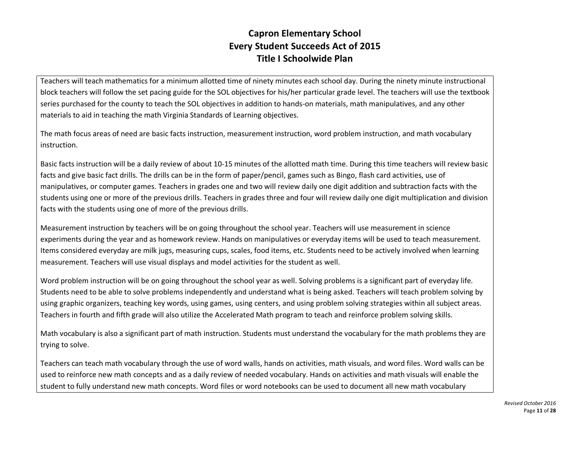Teachers will teach mathematics for a minimum allotted time of ninety minutes each school day. During the ninety minute instructional block teachers will follow the set pacing guide for the SOL objectives for his/her particular grade level. The teachers will use the textbook series purchased for the county to teach the SOL objectives in addition to hands-on materials, math manipulatives, and any other materials to aid in teaching the math Virginia Standards of Learning objectives.

The math focus areas of need are basic facts instruction, measurement instruction, word problem instruction, and math vocabulary instruction.

Basic facts instruction will be a daily review of about 10-15 minutes of the allotted math time. During this time teachers will review basic facts and give basic fact drills. The drills can be in the form of paper/pencil, games such as Bingo, flash card activities, use of manipulatives, or computer games. Teachers in grades one and two will review daily one digit addition and subtraction facts with the students using one or more of the previous drills. Teachers in grades three and four will review daily one digit multiplication and division facts with the students using one of more of the previous drills.

Measurement instruction by teachers will be on going throughout the school year. Teachers will use measurement in science experiments during the year and as homework review. Hands on manipulatives or everyday items will be used to teach measurement. Items considered everyday are milk jugs, measuring cups, scales, food items, etc. Students need to be actively involved when learning measurement. Teachers will use visual displays and model activities for the student as well.

Word problem instruction will be on going throughout the school year as well. Solving problems is a significant part of everyday life. Students need to be able to solve problems independently and understand what is being asked. Teachers will teach problem solving by using graphic organizers, teaching key words, using games, using centers, and using problem solving strategies within all subject areas. Teachers in fourth and fifth grade will also utilize the Accelerated Math program to teach and reinforce problem solving skills.

Math vocabulary is also a significant part of math instruction. Students must understand the vocabulary for the math problems they are trying to solve.

Teachers can teach math vocabulary through the use of word walls, hands on activities, math visuals, and word files. Word walls can be used to reinforce new math concepts and as a daily review of needed vocabulary. Hands on activities and math visuals will enable the student to fully understand new math concepts. Word files or word notebooks can be used to document all new math vocabulary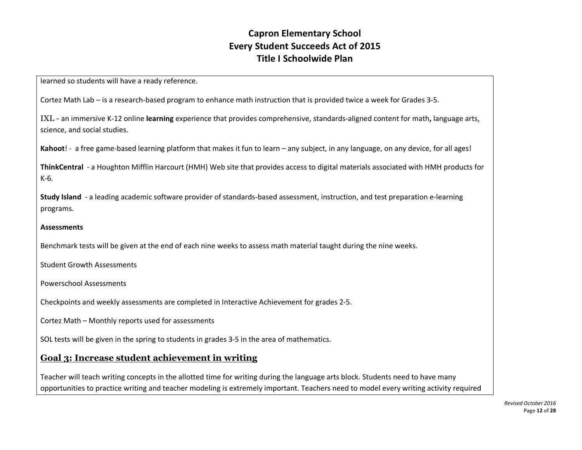learned so students will have a ready reference.

Cortez Math Lab – is a research-based program to enhance math instruction that is provided twice a week for Grades 3-5.

IXL - an immersive K-12 online **learning** experience that provides comprehensive, standards-aligned content for math**,** language arts, science, and social studies.

**Kahoot**! - a free game-based learning platform that makes it fun to learn – any subject, in any language, on any device, for all ages!

**ThinkCentral** - a Houghton Mifflin Harcourt (HMH) Web site that provides access to digital materials associated with HMH products for K-6.

**Study Island** - a leading academic software provider of standards-based assessment, instruction, and test preparation e-learning programs.

#### **Assessments**

Benchmark tests will be given at the end of each nine weeks to assess math material taught during the nine weeks.

Student Growth Assessments

Powerschool Assessments

Checkpoints and weekly assessments are completed in Interactive Achievement for grades 2-5.

Cortez Math – Monthly reports used for assessments

SOL tests will be given in the spring to students in grades 3-5 in the area of mathematics.

#### **Goal 3: Increase student achievement in writing**

Teacher will teach writing concepts in the allotted time for writing during the language arts block. Students need to have many opportunities to practice writing and teacher modeling is extremely important. Teachers need to model every writing activity required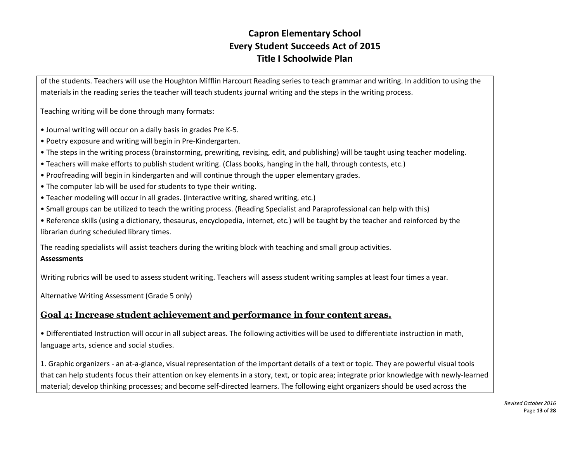of the students. Teachers will use the Houghton Mifflin Harcourt Reading series to teach grammar and writing. In addition to using the materials in the reading series the teacher will teach students journal writing and the steps in the writing process.

Teaching writing will be done through many formats:

- Journal writing will occur on a daily basis in grades Pre K-5.
- Poetry exposure and writing will begin in Pre-Kindergarten.
- The steps in the writing process (brainstorming, prewriting, revising, edit, and publishing) will be taught using teacher modeling.
- Teachers will make efforts to publish student writing. (Class books, hanging in the hall, through contests, etc.)
- Proofreading will begin in kindergarten and will continue through the upper elementary grades.
- The computer lab will be used for students to type their writing.
- Teacher modeling will occur in all grades. (Interactive writing, shared writing, etc.)
- Small groups can be utilized to teach the writing process. (Reading Specialist and Paraprofessional can help with this)

• Reference skills (using a dictionary, thesaurus, encyclopedia, internet, etc.) will be taught by the teacher and reinforced by the librarian during scheduled library times.

The reading specialists will assist teachers during the writing block with teaching and small group activities.

#### **Assessments**

Writing rubrics will be used to assess student writing. Teachers will assess student writing samples at least four times a year.

Alternative Writing Assessment (Grade 5 only)

#### **Goal 4: Increase student achievement and performance in four content areas.**

• Differentiated Instruction will occur in all subject areas. The following activities will be used to differentiate instruction in math, language arts, science and social studies.

1. Graphic organizers - an at-a-glance, visual representation of the important details of a text or topic. They are powerful visual tools that can help students focus their attention on key elements in a story, text, or topic area; integrate prior knowledge with newly-learned material; develop thinking processes; and become self-directed learners. The following eight organizers should be used across the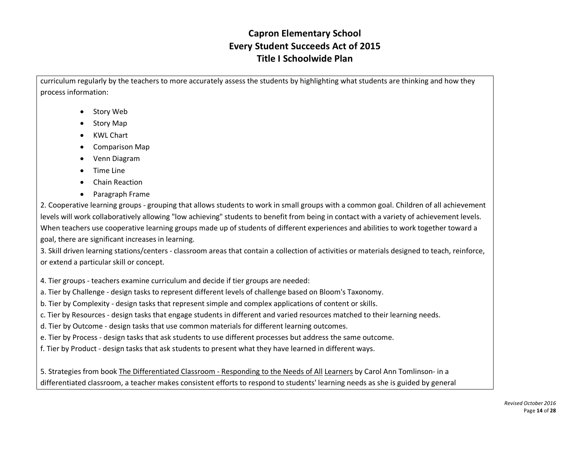curriculum regularly by the teachers to more accurately assess the students by highlighting what students are thinking and how they process information:

- Story Web
- Story Map
- KWL Chart
- Comparison Map
- Venn Diagram
- Time Line
- Chain Reaction
- Paragraph Frame

2. Cooperative learning groups - grouping that allows students to work in small groups with a common goal. Children of all achievement levels will work collaboratively allowing "low achieving" students to benefit from being in contact with a variety of achievement levels. When teachers use cooperative learning groups made up of students of different experiences and abilities to work together toward a goal, there are significant increases in learning.

3. Skill driven learning stations/centers - classroom areas that contain a collection of activities or materials designed to teach, reinforce, or extend a particular skill or concept.

4. Tier groups - teachers examine curriculum and decide if tier groups are needed:

a. Tier by Challenge - design tasks to represent different levels of challenge based on Bloom's Taxonomy.

b. Tier by Complexity - design tasks that represent simple and complex applications of content or skills.

c. Tier by Resources - design tasks that engage students in different and varied resources matched to their learning needs.

d. Tier by Outcome - design tasks that use common materials for different learning outcomes.

e. Tier by Process - design tasks that ask students to use different processes but address the same outcome.

f. Tier by Product - design tasks that ask students to present what they have learned in different ways.

5. Strategies from book The Differentiated Classroom - Responding to the Needs of All Learners by Carol Ann Tomlinson- in a differentiated classroom, a teacher makes consistent efforts to respond to students' learning needs as she is guided by general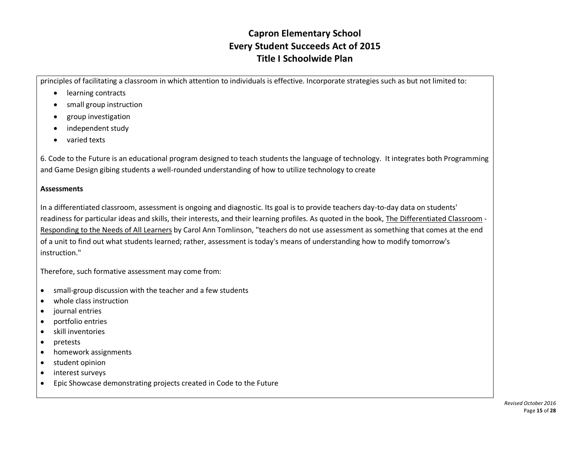principles of facilitating a classroom in which attention to individuals is effective. Incorporate strategies such as but not limited to:

- learning contracts
- small group instruction
- group investigation
- independent study
- varied texts

6. Code to the Future is an educational program designed to teach students the language of technology. It integrates both Programming and Game Design gibing students a well-rounded understanding of how to utilize technology to create

#### **Assessments**

In a differentiated classroom, assessment is ongoing and diagnostic. Its goal is to provide teachers day-to-day data on students' readiness for particular ideas and skills, their interests, and their learning profiles. As quoted in the book, The Differentiated Classroom - Responding to the Needs of All Learners by Carol Ann Tomlinson, "teachers do not use assessment as something that comes at the end of a unit to find out what students learned; rather, assessment is today's means of understanding how to modify tomorrow's instruction."

Therefore, such formative assessment may come from:

- small-group discussion with the teacher and a few students
- whole class instruction
- journal entries
- portfolio entries
- skill inventories
- pretests
- homework assignments
- student opinion
- interest surveys
- Epic Showcase demonstrating projects created in Code to the Future

*Revised October 2016* Page **15** of **28**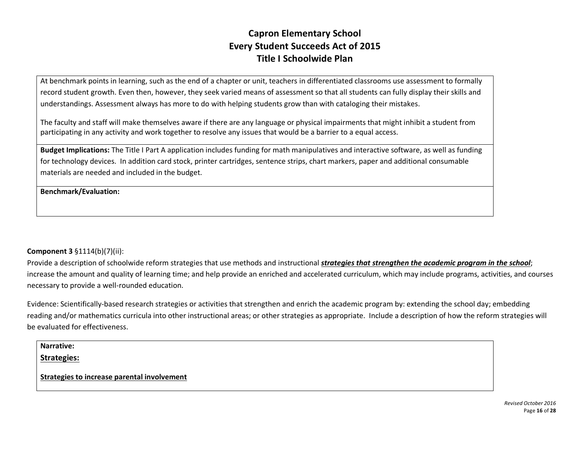At benchmark points in learning, such as the end of a chapter or unit, teachers in differentiated classrooms use assessment to formally record student growth. Even then, however, they seek varied means of assessment so that all students can fully display their skills and understandings. Assessment always has more to do with helping students grow than with cataloging their mistakes.

The faculty and staff will make themselves aware if there are any language or physical impairments that might inhibit a student from participating in any activity and work together to resolve any issues that would be a barrier to a equal access.

**Budget Implications:** The Title I Part A application includes funding for math manipulatives and interactive software, as well as funding for technology devices. In addition card stock, printer cartridges, sentence strips, chart markers, paper and additional consumable materials are needed and included in the budget.

**Benchmark/Evaluation:**

#### **Component 3** §1114(b)(7)(ii):

Provide a description of schoolwide reform strategies that use methods and instructional **strategies that strengthen the academic program in the school**; increase the amount and quality of learning time; and help provide an enriched and accelerated curriculum, which may include programs, activities, and courses necessary to provide a well-rounded education.

Evidence: Scientifically-based research strategies or activities that strengthen and enrich the academic program by: extending the school day; embedding reading and/or mathematics curricula into other instructional areas; or other strategies as appropriate. Include a description of how the reform strategies will be evaluated for effectiveness.

| Narrative:                                         |  |
|----------------------------------------------------|--|
| <b>Strategies:</b>                                 |  |
| <b>Strategies to increase parental involvement</b> |  |

*Revised October 2016* Page **16** of **28**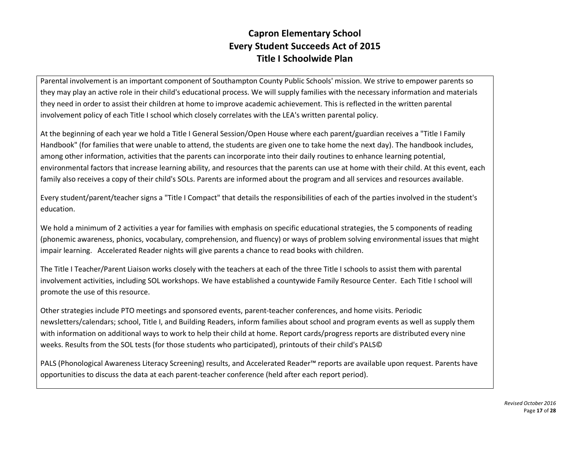Parental involvement is an important component of Southampton County Public Schools' mission. We strive to empower parents so they may play an active role in their child's educational process. We will supply families with the necessary information and materials they need in order to assist their children at home to improve academic achievement. This is reflected in the written parental involvement policy of each Title I school which closely correlates with the LEA's written parental policy.

At the beginning of each year we hold a Title I General Session/Open House where each parent/guardian receives a "Title I Family Handbook" (for families that were unable to attend, the students are given one to take home the next day). The handbook includes, among other information, activities that the parents can incorporate into their daily routines to enhance learning potential, environmental factors that increase learning ability, and resources that the parents can use at home with their child. At this event, each family also receives a copy of their child's SOLs. Parents are informed about the program and all services and resources available.

Every student/parent/teacher signs a "Title I Compact" that details the responsibilities of each of the parties involved in the student's education.

We hold a minimum of 2 activities a year for families with emphasis on specific educational strategies, the 5 components of reading (phonemic awareness, phonics, vocabulary, comprehension, and fluency) or ways of problem solving environmental issues that might impair learning. Accelerated Reader nights will give parents a chance to read books with children.

The Title I Teacher/Parent Liaison works closely with the teachers at each of the three Title I schools to assist them with parental involvement activities, including SOL workshops. We have established a countywide Family Resource Center. Each Title I school will promote the use of this resource.

Other strategies include PTO meetings and sponsored events, parent-teacher conferences, and home visits. Periodic newsletters/calendars; school, Title I, and Building Readers, inform families about school and program events as well as supply them with information on additional ways to work to help their child at home. Report cards/progress reports are distributed every nine weeks. Results from the SOL tests (for those students who participated), printouts of their child's PALS©

PALS (Phonological Awareness Literacy Screening) results, and Accelerated Reader™ reports are available upon request. Parents have opportunities to discuss the data at each parent-teacher conference (held after each report period).

> *Revised October 2016* Page **17** of **28**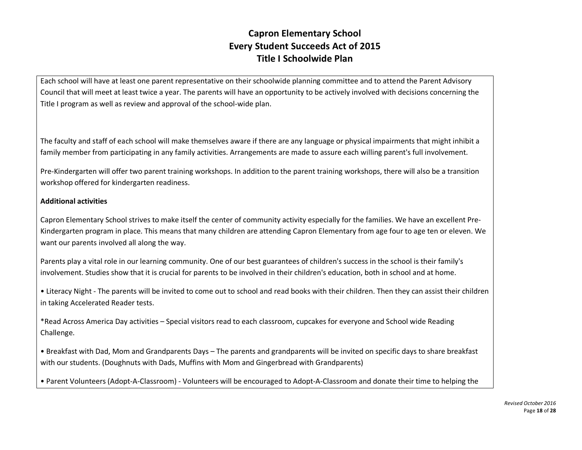Each school will have at least one parent representative on their schoolwide planning committee and to attend the Parent Advisory Council that will meet at least twice a year. The parents will have an opportunity to be actively involved with decisions concerning the Title I program as well as review and approval of the school-wide plan.

The faculty and staff of each school will make themselves aware if there are any language or physical impairments that might inhibit a family member from participating in any family activities. Arrangements are made to assure each willing parent's full involvement.

Pre-Kindergarten will offer two parent training workshops. In addition to the parent training workshops, there will also be a transition workshop offered for kindergarten readiness.

#### **Additional activities**

Capron Elementary School strives to make itself the center of community activity especially for the families. We have an excellent Pre-Kindergarten program in place. This means that many children are attending Capron Elementary from age four to age ten or eleven. We want our parents involved all along the way.

Parents play a vital role in our learning community. One of our best guarantees of children's success in the school is their family's involvement. Studies show that it is crucial for parents to be involved in their children's education, both in school and at home.

• Literacy Night - The parents will be invited to come out to school and read books with their children. Then they can assist their children in taking Accelerated Reader tests.

\*Read Across America Day activities – Special visitors read to each classroom, cupcakes for everyone and School wide Reading Challenge.

• Breakfast with Dad, Mom and Grandparents Days – The parents and grandparents will be invited on specific days to share breakfast with our students. (Doughnuts with Dads, Muffins with Mom and Gingerbread with Grandparents)

• Parent Volunteers (Adopt-A-Classroom) - Volunteers will be encouraged to Adopt-A-Classroom and donate their time to helping the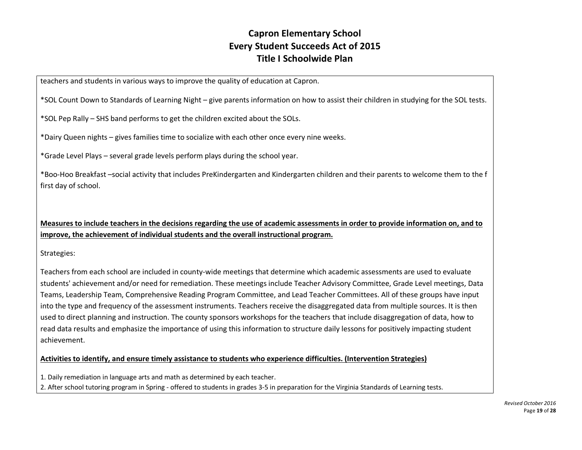teachers and students in various ways to improve the quality of education at Capron.

\*SOL Count Down to Standards of Learning Night – give parents information on how to assist their children in studying for the SOL tests.

\*SOL Pep Rally – SHS band performs to get the children excited about the SOLs.

\*Dairy Queen nights – gives families time to socialize with each other once every nine weeks.

\*Grade Level Plays – several grade levels perform plays during the school year.

\*Boo-Hoo Breakfast –social activity that includes PreKindergarten and Kindergarten children and their parents to welcome them to the f first day of school.

**Measures to include teachers in the decisions regarding the use of academic assessments in order to provide information on, and to improve, the achievement of individual students and the overall instructional program.** 

Strategies:

Teachers from each school are included in county-wide meetings that determine which academic assessments are used to evaluate students' achievement and/or need for remediation. These meetings include Teacher Advisory Committee, Grade Level meetings, Data Teams, Leadership Team, Comprehensive Reading Program Committee, and Lead Teacher Committees. All of these groups have input into the type and frequency of the assessment instruments. Teachers receive the disaggregated data from multiple sources. It is then used to direct planning and instruction. The county sponsors workshops for the teachers that include disaggregation of data, how to read data results and emphasize the importance of using this information to structure daily lessons for positively impacting student achievement.

#### **Activities to identify, and ensure timely assistance to students who experience difficulties. (Intervention Strategies)**

1. Daily remediation in language arts and math as determined by each teacher.

2. After school tutoring program in Spring - offered to students in grades 3-5 in preparation for the Virginia Standards of Learning tests.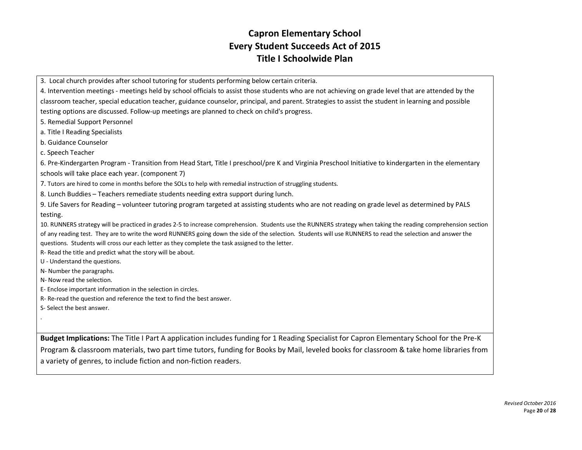3. Local church provides after school tutoring for students performing below certain criteria.

4. Intervention meetings - meetings held by school officials to assist those students who are not achieving on grade level that are attended by the classroom teacher, special education teacher, guidance counselor, principal, and parent. Strategies to assist the student in learning and possible testing options are discussed. Follow-up meetings are planned to check on child's progress.

5. Remedial Support Personnel

a. Title I Reading Specialists

b. Guidance Counselor

c. Speech Teacher

6. Pre-Kindergarten Program - Transition from Head Start, Title I preschool/pre K and Virginia Preschool Initiative to kindergarten in the elementary schools will take place each year. (component 7)

7. Tutors are hired to come in months before the SOLs to help with remedial instruction of struggling students.

8. Lunch Buddies – Teachers remediate students needing extra support during lunch.

9. Life Savers for Reading – volunteer tutoring program targeted at assisting students who are not reading on grade level as determined by PALS testing.

10. RUNNERS strategy will be practiced in grades 2-5 to increase comprehension. Students use the RUNNERS strategy when taking the reading comprehension section of any reading test. They are to write the word RUNNERS going down the side of the selection. Students will use RUNNERS to read the selection and answer the questions. Students will cross our each letter as they complete the task assigned to the letter.

R- Read the title and predict what the story will be about.

U - Understand the questions.

N- Number the paragraphs.

N- Now read the selection.

E- Enclose important information in the selection in circles.

R- Re-read the question and reference the text to find the best answer.

S- Select the best answer.

.

**Budget Implications:** The Title I Part A application includes funding for 1 Reading Specialist for Capron Elementary School for the Pre-K Program & classroom materials, two part time tutors, funding for Books by Mail, leveled books for classroom & take home libraries from a variety of genres, to include fiction and non-fiction readers.

> *Revised October 2016* Page **20** of **28**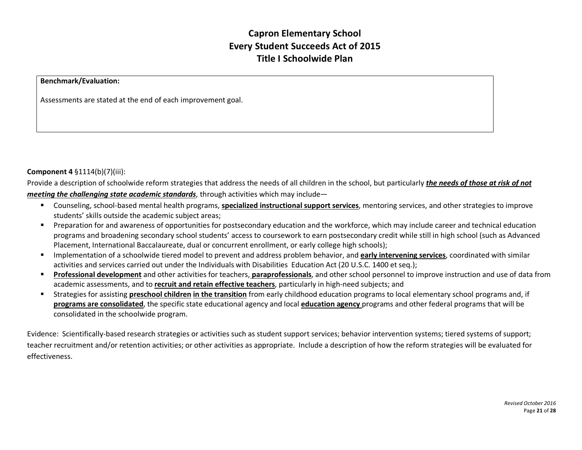#### **Benchmark/Evaluation:**

Assessments are stated at the end of each improvement goal.

#### **Component 4** §1114(b)(7)(iii):

Provide a description of schoolwide reform strategies that address the needs of all children in the school, but particularly *the needs of those at risk of not meeting the challenging state academic standards*, through activities which may include—

- § Counseling, school-based mental health programs, **specialized instructional support services**, mentoring services, and other strategies to improve students' skills outside the academic subject areas;
- § Preparation for and awareness of opportunities for postsecondary education and the workforce, which may include career and technical education programs and broadening secondary school students' access to coursework to earn postsecondary credit while still in high school (such as Advanced Placement, International Baccalaureate, dual or concurrent enrollment, or early college high schools);
- § Implementation of a schoolwide tiered model to prevent and address problem behavior, and **early intervening services**, coordinated with similar activities and services carried out under the Individuals with Disabilities Education Act (20 U.S.C. 1400 et seq.);
- § **Professional development** and other activities for teachers, **paraprofessionals**, and other school personnel to improve instruction and use of data from academic assessments, and to **recruit and retain effective teachers**, particularly in high-need subjects; and
- § Strategies for assisting **preschool children in the transition** from early childhood education programs to local elementary school programs and, if **programs are consolidated**, the specific state educational agency and local **education agency** programs and other federal programs that will be consolidated in the schoolwide program.

Evidence: Scientifically-based research strategies or activities such as student support services; behavior intervention systems; tiered systems of support; teacher recruitment and/or retention activities; or other activities as appropriate. Include a description of how the reform strategies will be evaluated for effectiveness.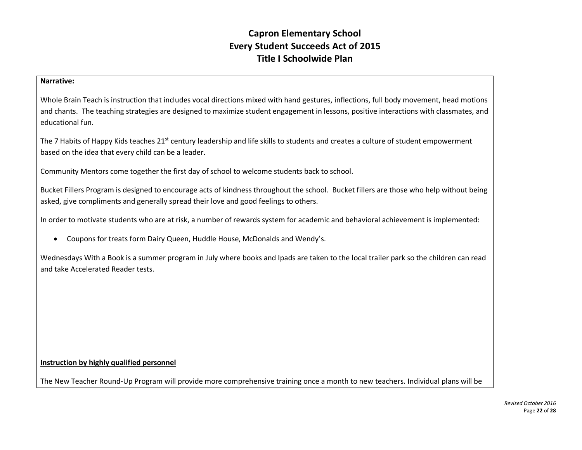#### **Narrative:**

Whole Brain Teach is instruction that includes vocal directions mixed with hand gestures, inflections, full body movement, head motions and chants. The teaching strategies are designed to maximize student engagement in lessons, positive interactions with classmates, and educational fun.

The 7 Habits of Happy Kids teaches 21<sup>st</sup> century leadership and life skills to students and creates a culture of student empowerment based on the idea that every child can be a leader.

Community Mentors come together the first day of school to welcome students back to school.

Bucket Fillers Program is designed to encourage acts of kindness throughout the school. Bucket fillers are those who help without being asked, give compliments and generally spread their love and good feelings to others.

In order to motivate students who are at risk, a number of rewards system for academic and behavioral achievement is implemented:

• Coupons for treats form Dairy Queen, Huddle House, McDonalds and Wendy's.

Wednesdays With a Book is a summer program in July where books and Ipads are taken to the local trailer park so the children can read and take Accelerated Reader tests.

#### **Instruction by highly qualified personnel**

The New Teacher Round-Up Program will provide more comprehensive training once a month to new teachers. Individual plans will be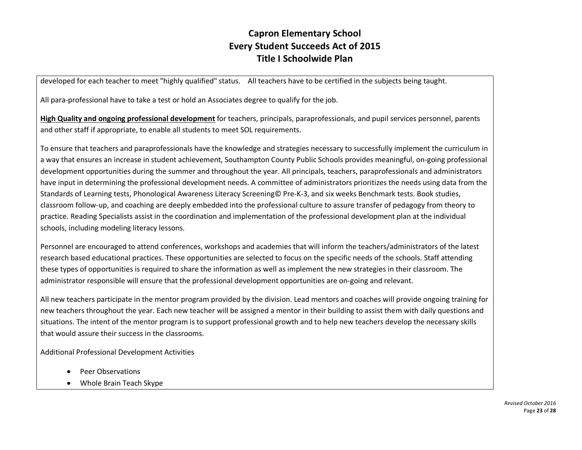developed for each teacher to meet "highly qualified" status. All teachers have to be certified in the subjects being taught.

All para-professional have to take a test or hold an Associates degree to qualify for the job.

**High Quality and ongoing professional development** for teachers, principals, paraprofessionals, and pupil services personnel, parents and other staff if appropriate, to enable all students to meet SOL requirements.

To ensure that teachers and paraprofessionals have the knowledge and strategies necessary to successfully implement the curriculum in a way that ensures an increase in student achievement, Southampton County Public Schools provides meaningful, on-going professional development opportunities during the summer and throughout the year. All principals, teachers, paraprofessionals and administrators have input in determining the professional development needs. A committee of administrators prioritizes the needs using data from the Standards of Learning tests, Phonological Awareness Literacy Screening© Pre-K-3, and six weeks Benchmark tests. Book studies, classroom follow-up, and coaching are deeply embedded into the professional culture to assure transfer of pedagogy from theory to practice. Reading Specialists assist in the coordination and implementation of the professional development plan at the individual schools, including modeling literacy lessons.

Personnel are encouraged to attend conferences, workshops and academies that will inform the teachers/administrators of the latest research based educational practices. These opportunities are selected to focus on the specific needs of the schools. Staff attending these types of opportunities is required to share the information as well as implement the new strategies in their classroom. The administrator responsible will ensure that the professional development opportunities are on-going and relevant.

All new teachers participate in the mentor program provided by the division. Lead mentors and coaches will provide ongoing training for new teachers throughout the year. Each new teacher will be assigned a mentor in their building to assist them with daily questions and situations. The intent of the mentor program is to support professional growth and to help new teachers develop the necessary skills that would assure their success in the classrooms.

Additional Professional Development Activities

- Peer Observations
- Whole Brain Teach Skype

*Revised October 2016* Page **23** of **28**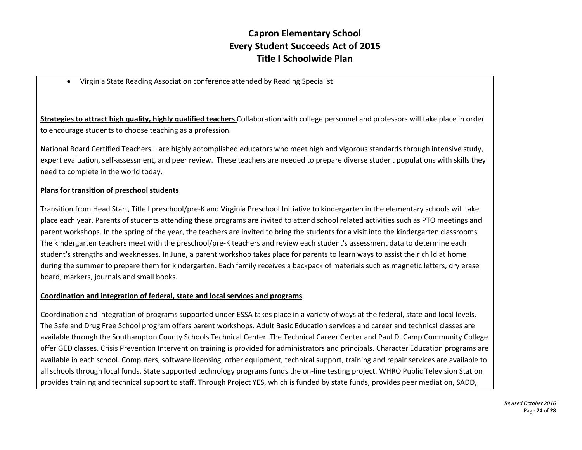• Virginia State Reading Association conference attended by Reading Specialist

**Strategies to attract high quality, highly qualified teachers** Collaboration with college personnel and professors will take place in order to encourage students to choose teaching as a profession.

National Board Certified Teachers – are highly accomplished educators who meet high and vigorous standards through intensive study, expert evaluation, self-assessment, and peer review. These teachers are needed to prepare diverse student populations with skills they need to complete in the world today.

#### **Plans for transition of preschool students**

Transition from Head Start, Title I preschool/pre-K and Virginia Preschool Initiative to kindergarten in the elementary schools will take place each year. Parents of students attending these programs are invited to attend school related activities such as PTO meetings and parent workshops. In the spring of the year, the teachers are invited to bring the students for a visit into the kindergarten classrooms. The kindergarten teachers meet with the preschool/pre-K teachers and review each student's assessment data to determine each student's strengths and weaknesses. In June, a parent workshop takes place for parents to learn ways to assist their child at home during the summer to prepare them for kindergarten. Each family receives a backpack of materials such as magnetic letters, dry erase board, markers, journals and small books.

#### **Coordination and integration of federal, state and local services and programs**

Coordination and integration of programs supported under ESSA takes place in a variety of ways at the federal, state and local levels. The Safe and Drug Free School program offers parent workshops. Adult Basic Education services and career and technical classes are available through the Southampton County Schools Technical Center. The Technical Career Center and Paul D. Camp Community College offer GED classes. Crisis Prevention Intervention training is provided for administrators and principals. Character Education programs are available in each school. Computers, software licensing, other equipment, technical support, training and repair services are available to all schools through local funds. State supported technology programs funds the on-line testing project. WHRO Public Television Station provides training and technical support to staff. Through Project YES, which is funded by state funds, provides peer mediation, SADD,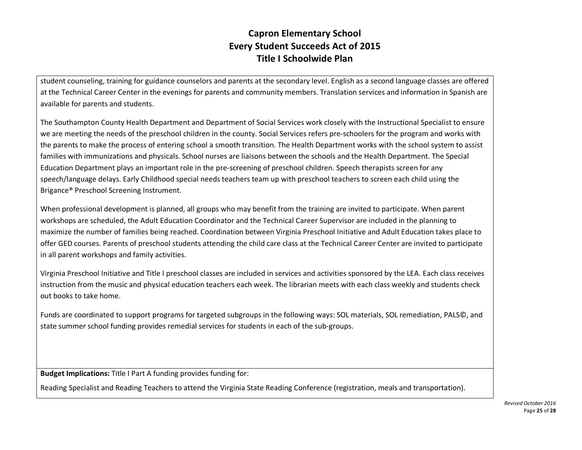student counseling, training for guidance counselors and parents at the secondary level. English as a second language classes are offered at the Technical Career Center in the evenings for parents and community members. Translation services and information in Spanish are available for parents and students.

The Southampton County Health Department and Department of Social Services work closely with the Instructional Specialist to ensure we are meeting the needs of the preschool children in the county. Social Services refers pre-schoolers for the program and works with the parents to make the process of entering school a smooth transition. The Health Department works with the school system to assist families with immunizations and physicals. School nurses are liaisons between the schools and the Health Department. The Special Education Department plays an important role in the pre-screening of preschool children. Speech therapists screen for any speech/language delays. Early Childhood special needs teachers team up with preschool teachers to screen each child using the Brigance® Preschool Screening Instrument.

When professional development is planned, all groups who may benefit from the training are invited to participate. When parent workshops are scheduled, the Adult Education Coordinator and the Technical Career Supervisor are included in the planning to maximize the number of families being reached. Coordination between Virginia Preschool Initiative and Adult Education takes place to offer GED courses. Parents of preschool students attending the child care class at the Technical Career Center are invited to participate in all parent workshops and family activities.

Virginia Preschool Initiative and Title I preschool classes are included in services and activities sponsored by the LEA. Each class receives instruction from the music and physical education teachers each week. The librarian meets with each class weekly and students check out books to take home.

Funds are coordinated to support programs for targeted subgroups in the following ways: SOL materials, SOL remediation, PALS©, and state summer school funding provides remedial services for students in each of the sub-groups.

**Budget Implications:** Title I Part A funding provides funding for:

Reading Specialist and Reading Teachers to attend the Virginia State Reading Conference (registration, meals and transportation).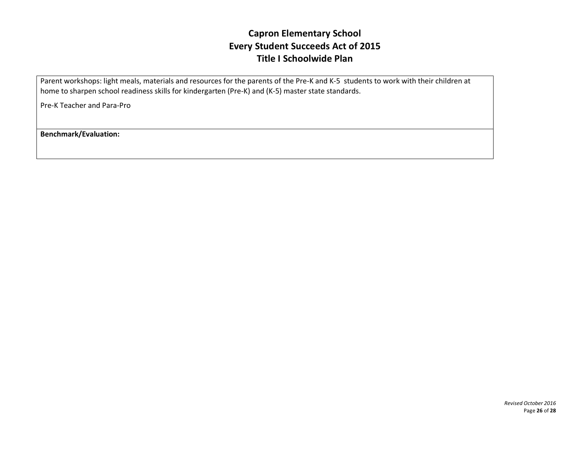Parent workshops: light meals, materials and resources for the parents of the Pre-K and K-5 students to work with their children at home to sharpen school readiness skills for kindergarten (Pre-K) and (K-5) master state standards.

Pre-K Teacher and Para-Pro

**Benchmark/Evaluation:**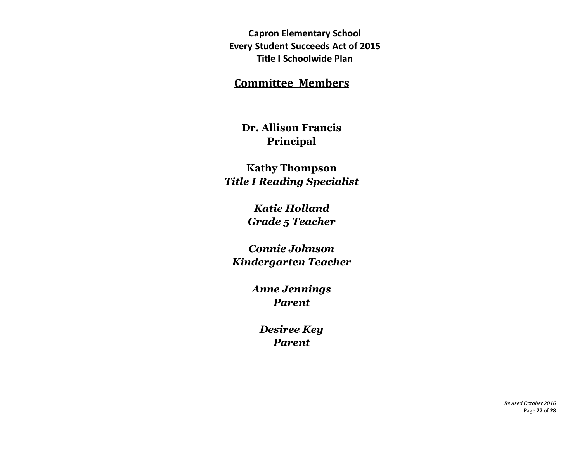#### **Committee Members**

**Dr. Allison Francis Principal**

**Kathy Thompson** *Title I Reading Specialist*

> *Katie Holland Grade 5 Teacher*

*Connie Johnson Kindergarten Teacher*

> *Anne Jennings Parent*

*Desiree Key Parent*

> *Revised October 2016* Page **27** of **28**